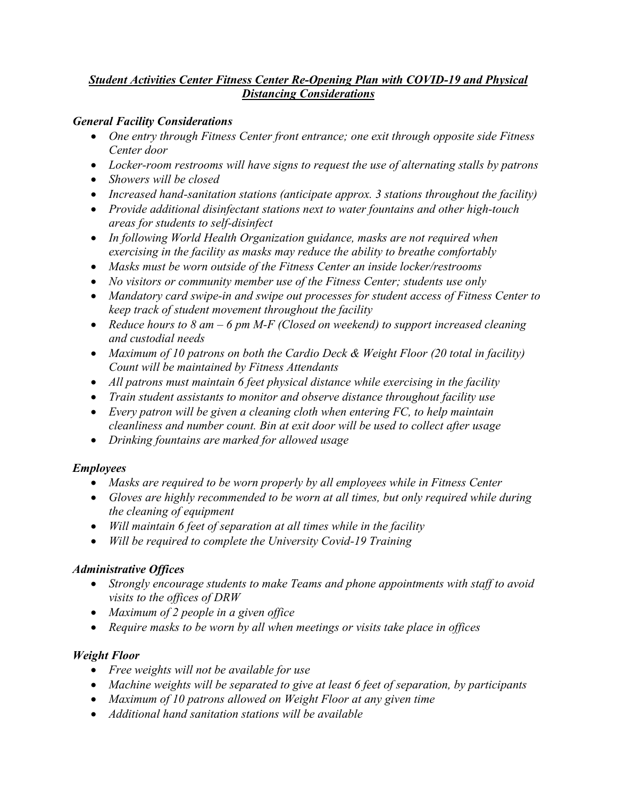## *Student Activities Center Fitness Center Re-Opening Plan with COVID-19 and Physical Distancing Considerations*

## *General Facility Considerations*

- *One entry through Fitness Center front entrance; one exit through opposite side Fitness Center door*
- *Locker-room restrooms will have signs to request the use of alternating stalls by patrons*
- *Showers will be closed*
- *Increased hand-sanitation stations (anticipate approx. 3 stations throughout the facility)*
- *Provide additional disinfectant stations next to water fountains and other high-touch areas for students to self-disinfect*
- *In following World Health Organization guidance, masks are not required when exercising in the facility as masks may reduce the ability to breathe comfortably*
- *Masks must be worn outside of the Fitness Center an inside locker/restrooms*
- *No visitors or community member use of the Fitness Center; students use only*
- *Mandatory card swipe-in and swipe out processes for student access of Fitness Center to keep track of student movement throughout the facility*
- *Reduce hours to 8 am – 6 pm M-F (Closed on weekend) to support increased cleaning and custodial needs*
- *Maximum of 10 patrons on both the Cardio Deck & Weight Floor (20 total in facility) Count will be maintained by Fitness Attendants*
- *All patrons must maintain 6 feet physical distance while exercising in the facility*
- *Train student assistants to monitor and observe distance throughout facility use*
- *Every patron will be given a cleaning cloth when entering FC, to help maintain cleanliness and number count. Bin at exit door will be used to collect after usage*
- *Drinking fountains are marked for allowed usage*

#### *Employees*

- *Masks are required to be worn properly by all employees while in Fitness Center*
- *Gloves are highly recommended to be worn at all times, but only required while during the cleaning of equipment*
- *Will maintain 6 feet of separation at all times while in the facility*
- *Will be required to complete the University Covid-19 Training*

#### *Administrative Offices*

- *Strongly encourage students to make Teams and phone appointments with staff to avoid visits to the offices of DRW*
- *Maximum of 2 people in a given office*
- *Require masks to be worn by all when meetings or visits take place in offices*

# *Weight Floor*

- *Free weights will not be available for use*
- *Machine weights will be separated to give at least 6 feet of separation, by participants*
- *Maximum of 10 patrons allowed on Weight Floor at any given time*
- *Additional hand sanitation stations will be available*